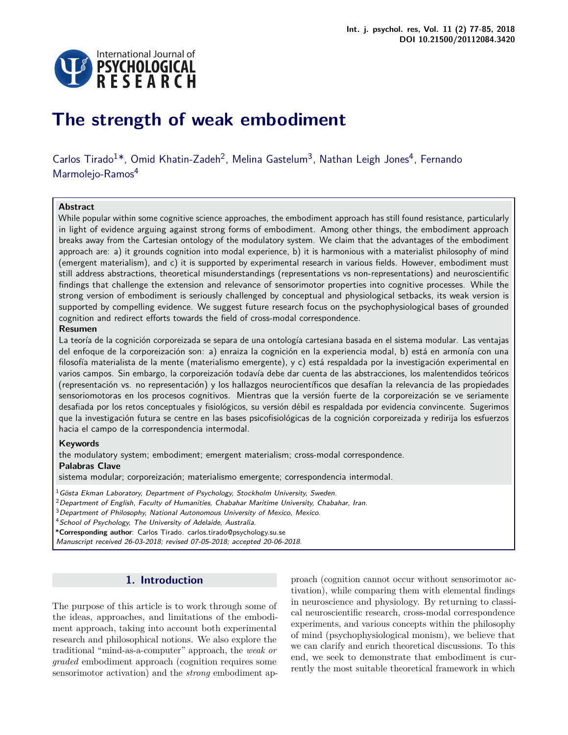

# **The strength of weak embodiment**

Carlos Tirado<sup>1\*</sup>, Omid Khatin-Zadeh<sup>2</sup>, Melina Gastelum<sup>3</sup>, Nathan Leigh Jones<sup>4</sup>, Fernando Marmolejo-Ramos<sup>4</sup>

## **Abstract**

While popular within some cognitive science approaches, the embodiment approach has still found resistance, particularly in light of evidence arguing against strong forms of embodiment. Among other things, the embodiment approach breaks away from the Cartesian ontology of the modulatory system. We claim that the advantages of the embodiment approach are: a) it grounds cognition into modal experience, b) it is harmonious with a materialist philosophy of mind (emergent materialism), and c) it is supported by experimental research in various fields. However, embodiment must still address abstractions, theoretical misunderstandings (representations vs non-representations) and neuroscientific findings that challenge the extension and relevance of sensorimotor properties into cognitive processes. While the strong version of embodiment is seriously challenged by conceptual and physiological setbacks, its weak version is supported by compelling evidence. We suggest future research focus on the psychophysiological bases of grounded cognition and redirect efforts towards the field of cross-modal correspondence.

### **Resumen**

La teoría de la cognición corporeizada se separa de una ontología cartesiana basada en el sistema modular. Las ventajas del enfoque de la corporeización son: a) enraiza la cognición en la experiencia modal, b) está en armonía con una filosofía materialista de la mente (materialismo emergente), y c) está respaldada por la investigación experimental en varios campos. Sin embargo, la corporeización todavía debe dar cuenta de las abstracciones, los malentendidos teóricos (representación vs. no representación) y los hallazgos neurocientíficos que desafían la relevancia de las propiedades sensoriomotoras en los procesos cognitivos. Mientras que la versión fuerte de la corporeización se ve seriamente desafiada por los retos conceptuales y fisiológicos, su versión débil es respaldada por evidencia convincente. Sugerimos que la investigación futura se centre en las bases psicofisiológicas de la cognición corporeizada y redirija los esfuerzos hacia el campo de la correspondencia intermodal.

### **Keywords**

the modulatory system; embodiment; emergent materialism; cross-modal correspondence.

### **Palabras Clave**

sistema modular; corporeización; materialismo emergente; correspondencia intermodal.

 $^1$ Gösta Ekman Laboratory, Department of Psychology, Stockholm University, Sweden.

<sup>2</sup> Department of English, Faculty of Humanities, Chabahar Maritime University, Chabahar, Iran.

<sup>3</sup> Department of Philosophy, National Autonomous University of Mexico, Mexico.

<sup>4</sup> School of Psychology, The University of Adelaide, Australia.

\***Corresponding author**: Carlos Tirado. carlos.tirado@psychology.su.se

Manuscript received 26-03-2018; revised 07-05-2018; accepted 20-06-2018.

# **1. Introduction**

The purpose of this article is to work through some of the ideas, approaches, and limitations of the embodiment approach, taking into account both experimental research and philosophical notions. We also explore the traditional "mind-as-a-computer" approach, the *weak or graded* embodiment approach (cognition requires some sensorimotor activation) and the *strong* embodiment ap-

proach (cognition cannot occur without sensorimotor activation), while comparing them with elemental findings in neuroscience and physiology. By returning to classical neuroscientific research, cross-modal correspondence experiments, and various concepts within the philosophy of mind (psychophysiological monism), we believe that we can clarify and enrich theoretical discussions. To this end, we seek to demonstrate that embodiment is currently the most suitable theoretical framework in which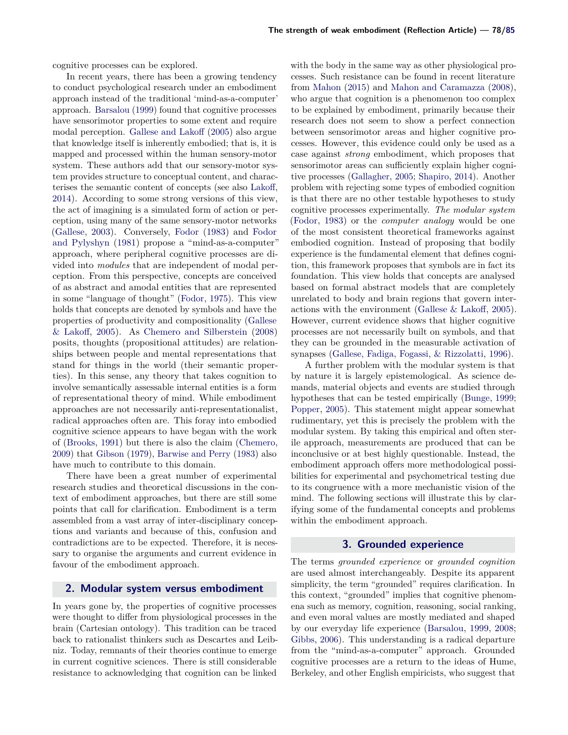cognitive processes can be explored.

In recent years, there has been a growing tendency to conduct psychological research under an embodiment approach instead of the traditional 'mind-as-a-computer' approach. [Barsalou](#page-6-0) [\(1999\)](#page-6-0) found that cognitive processes have sensorimotor properties to some extent and require modal perception. [Gallese and Lakoff](#page-7-0) [\(2005\)](#page-7-0) also argue that knowledge itself is inherently embodied; that is, it is mapped and processed within the human sensory-motor system. These authors add that our sensory-motor system provides structure to conceptual content, and characterises the semantic content of concepts (see also [Lakoff,](#page-7-1) [2014\)](#page-7-1). According to some strong versions of this view, the act of imagining is a simulated form of action or perception, using many of the same sensory-motor networks [\(Gallese,](#page-7-2) [2003\)](#page-7-2). Conversely, [Fodor](#page-7-3) [\(1983\)](#page-7-3) and [Fodor](#page-7-4) [and Pylyshyn](#page-7-4) [\(1981\)](#page-7-4) propose a "mind-as-a-computer" approach, where peripheral cognitive processes are divided into *modules* that are independent of modal perception. From this perspective, concepts are conceived of as abstract and amodal entities that are represented in some "language of thought" [\(Fodor,](#page-7-5) [1975\)](#page-7-5). This view holds that concepts are denoted by symbols and have the properties of productivity and compositionality [\(Gallese](#page-7-0) [& Lakoff,](#page-7-0) [2005\)](#page-7-0). As [Chemero and Silberstein](#page-6-1) [\(2008\)](#page-6-1) posits, thoughts (propositional attitudes) are relationships between people and mental representations that stand for things in the world (their semantic properties). In this sense, any theory that takes cognition to involve semantically assessable internal entities is a form of representational theory of mind. While embodiment approaches are not necessarily anti-representationalist, radical approaches often are. This foray into embodied cognitive science appears to have began with the work of [\(Brooks,](#page-6-2) [1991\)](#page-6-2) but there is also the claim [\(Chemero,](#page-6-3) [2009\)](#page-6-3) that [Gibson](#page-7-6) [\(1979\)](#page-7-6), [Barwise and Perry](#page-6-4) [\(1983\)](#page-6-4) also have much to contribute to this domain.

There have been a great number of experimental research studies and theoretical discussions in the context of embodiment approaches, but there are still some points that call for clarification. Embodiment is a term assembled from a vast array of inter-disciplinary conceptions and variants and because of this, confusion and contradictions are to be expected. Therefore, it is necessary to organise the arguments and current evidence in favour of the embodiment approach.

### **2. Modular system versus embodiment**

In years gone by, the properties of cognitive processes were thought to differ from physiological processes in the brain (Cartesian ontology). This tradition can be traced back to rationalist thinkers such as Descartes and Leibniz. Today, remnants of their theories continue to emerge in current cognitive sciences. There is still considerable resistance to acknowledging that cognition can be linked

with the body in the same way as other physiological processes. Such resistance can be found in recent literature from [Mahon](#page-7-7) [\(2015\)](#page-7-7) and [Mahon and Caramazza](#page-7-8) [\(2008\)](#page-7-8), who argue that cognition is a phenomenon too complex to be explained by embodiment, primarily because their research does not seem to show a perfect connection between sensorimotor areas and higher cognitive processes. However, this evidence could only be used as a case against *strong* embodiment, which proposes that sensorimotor areas can sufficiently explain higher cognitive processes [\(Gallagher,](#page-7-9) [2005;](#page-7-9) [Shapiro,](#page-8-1) [2014\)](#page-8-1). Another problem with rejecting some types of embodied cognition is that there are no other testable hypotheses to study cognitive processes experimentally. *The modular system* [\(Fodor,](#page-7-3) [1983\)](#page-7-3) or the *computer analogy* would be one of the most consistent theoretical frameworks against embodied cognition. Instead of proposing that bodily experience is the fundamental element that defines cognition, this framework proposes that symbols are in fact its foundation. This view holds that concepts are analysed based on formal abstract models that are completely unrelated to body and brain regions that govern interactions with the environment [\(Gallese & Lakoff,](#page-7-0) [2005\)](#page-7-0). However, current evidence shows that higher cognitive processes are not necessarily built on symbols, and that they can be grounded in the measurable activation of synapses [\(Gallese, Fadiga, Fogassi, & Rizzolatti,](#page-7-10) [1996\)](#page-7-10).

A further problem with the modular system is that by nature it is largely epistemological. As science demands, material objects and events are studied through hypotheses that can be tested empirically [\(Bunge,](#page-6-5) [1999;](#page-6-5) [Popper,](#page-8-2) [2005\)](#page-8-2). This statement might appear somewhat rudimentary, yet this is precisely the problem with the modular system. By taking this empirical and often sterile approach, measurements are produced that can be inconclusive or at best highly questionable. Instead, the embodiment approach offers more methodological possibilities for experimental and psychometrical testing due to its congruence with a more mechanistic vision of the mind. The following sections will illustrate this by clarifying some of the fundamental concepts and problems within the embodiment approach.

## **3. Grounded experience**

The terms *grounded experience* or *grounded cognition* are used almost interchangeably. Despite its apparent simplicity, the term "grounded" requires clarification. In this context, "grounded" implies that cognitive phenomena such as memory, cognition, reasoning, social ranking, and even moral values are mostly mediated and shaped by our everyday life experience [\(Barsalou,](#page-6-0) [1999,](#page-6-0) [2008;](#page-6-6) [Gibbs,](#page-7-11) [2006\)](#page-7-11). This understanding is a radical departure from the "mind-as-a-computer" approach. Grounded cognitive processes are a return to the ideas of Hume, Berkeley, and other English empiricists, who suggest that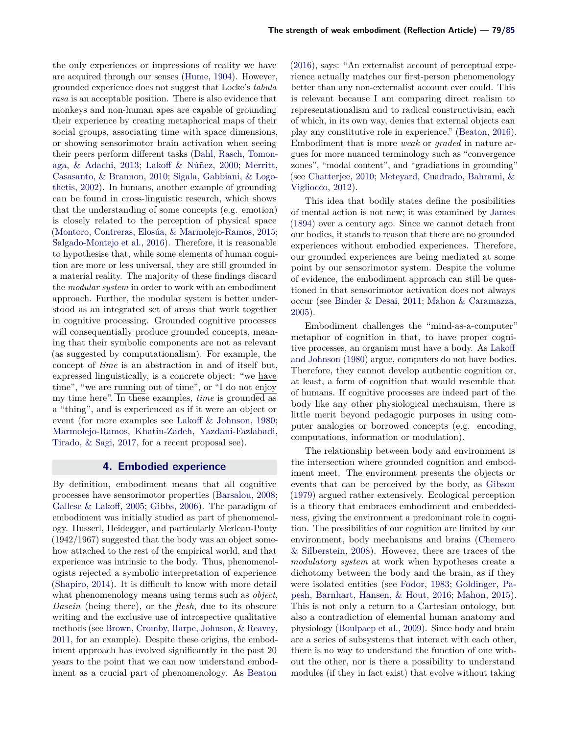the only experiences or impressions of reality we have are acquired through our senses [\(Hume,](#page-7-12) [1904\)](#page-7-12). However, grounded experience does not suggest that Locke's *tabula rasa* is an acceptable position. There is also evidence that monkeys and non-human apes are capable of grounding their experience by creating metaphorical maps of their social groups, associating time with space dimensions, or showing sensorimotor brain activation when seeing their peers perform different tasks [\(Dahl, Rasch, Tomon](#page-7-13)[aga, & Adachi,](#page-7-13) [2013;](#page-7-13) [Lakoff & Núñez,](#page-7-14) [2000;](#page-7-14) [Merritt,](#page-8-3) [Casasanto, & Brannon,](#page-8-3) [2010;](#page-8-3) [Sigala, Gabbiani, & Logo](#page-8-4)[thetis,](#page-8-4) [2002\)](#page-8-4). In humans, another example of grounding can be found in cross-linguistic research, which shows that the understanding of some concepts (e.g. emotion) is closely related to the perception of physical space [\(Montoro, Contreras, Elosúa, & Marmolejo-Ramos,](#page-8-5) [2015;](#page-8-5) [Salgado-Montejo et al.,](#page-8-6) [2016\)](#page-8-6). Therefore, it is reasonable to hypothesise that, while some elements of human cognition are more or less universal, they are still grounded in a material reality. The majority of these findings discard the *modular system* in order to work with an embodiment approach. Further, the modular system is better understood as an integrated set of areas that work together in cognitive processing. Grounded cognitive processes will consequentially produce grounded concepts, meaning that their symbolic components are not as relevant (as suggested by computationalism). For example, the concept of *time* is an abstraction in and of itself but, expressed linguistically, is a concrete object: "we have time", "we are running out of time", or "I do not enjoy my time here". In these examples, *time* is grounded as a "thing", and is experienced as if it were an object or event (for more examples see [Lakoff & Johnson,](#page-7-15) [1980;](#page-7-15) [Marmolejo-Ramos, Khatin-Zadeh, Yazdani-Fazlabadi,](#page-8-7) [Tirado, & Sagi,](#page-8-7) [2017,](#page-8-7) for a recent proposal see).

### **4. Embodied experience**

By definition, embodiment means that all cognitive processes have sensorimotor properties [\(Barsalou,](#page-6-6) [2008;](#page-6-6) [Gallese & Lakoff,](#page-7-0) [2005;](#page-7-0) [Gibbs,](#page-7-11) [2006\)](#page-7-11). The paradigm of embodiment was initially studied as part of phenomenology. Husserl, Heidegger, and particularly Merleau-Ponty (1942/1967) suggested that the body was an object somehow attached to the rest of the empirical world, and that experience was intrinsic to the body. Thus, phenomenologists rejected a symbolic interpretation of experience [\(Shapiro,](#page-8-1) [2014\)](#page-8-1). It is difficult to know with more detail what phenomenology means using terms such as *object*, *Dasein* (being there), or the *flesh*, due to its obscure writing and the exclusive use of introspective qualitative methods (see [Brown, Cromby, Harpe, Johnson, & Reavey,](#page-6-7) [2011,](#page-6-7) for an example). Despite these origins, the embodiment approach has evolved significantly in the past 20 years to the point that we can now understand embodiment as a crucial part of phenomenology. As [Beaton](#page-6-8)

[\(2016\)](#page-6-8), says: "An externalist account of perceptual experience actually matches our first-person phenomenology better than any non-externalist account ever could. This is relevant because I am comparing direct realism to representationalism and to radical constructivism, each of which, in its own way, denies that external objects can play any constitutive role in experience." [\(Beaton,](#page-6-8) [2016\)](#page-6-8). Embodiment that is more *weak* or *graded* in nature argues for more nuanced terminology such as "convergence zones", "modal content", and "gradiations in grounding" (see [Chatterjee,](#page-6-9) [2010;](#page-6-9) [Meteyard, Cuadrado, Bahrami, &](#page-8-8) [Vigliocco,](#page-8-8) [2012\)](#page-8-8).

This idea that bodily states define the posibilities of mental action is not new; it was examined by [James](#page-7-16) [\(1894\)](#page-7-16) over a century ago. Since we cannot detach from our bodies, it stands to reason that there are no grounded experiences without embodied experiences. Therefore, our grounded experiences are being mediated at some point by our sensorimotor system. Despite the volume of evidence, the embodiment approach can still be questioned in that sensorimotor activation does not always occur (see [Binder & Desai,](#page-6-10) [2011;](#page-6-10) [Mahon & Caramazza,](#page-7-17) [2005\)](#page-7-17).

Embodiment challenges the "mind-as-a-computer" metaphor of cognition in that, to have proper cognitive processes, an organism must have a body. As [Lakoff](#page-7-15) [and Johnson](#page-7-15) [\(1980\)](#page-7-15) argue, computers do not have bodies. Therefore, they cannot develop authentic cognition or, at least, a form of cognition that would resemble that of humans. If cognitive processes are indeed part of the body like any other physiological mechanism, there is little merit beyond pedagogic purposes in using computer analogies or borrowed concepts (e.g. encoding, computations, information or modulation).

The relationship between body and environment is the intersection where grounded cognition and embodiment meet. The environment presents the objects or events that can be perceived by the body, as [Gibson](#page-7-6) [\(1979\)](#page-7-6) argued rather extensively. Ecological perception is a theory that embraces embodiment and embeddedness, giving the environment a predominant role in cognition. The possibilities of our cognition are limited by our environment, body mechanisms and brains [\(Chemero](#page-6-1) [& Silberstein,](#page-6-1) [2008\)](#page-6-1). However, there are traces of the *modulatory system* at work when hypotheses create a dichotomy between the body and the brain, as if they were isolated entities (see [Fodor,](#page-7-3) [1983;](#page-7-3) [Goldinger, Pa](#page-7-18)[pesh, Barnhart, Hansen, & Hout,](#page-7-18) [2016;](#page-7-18) [Mahon,](#page-7-7) [2015\)](#page-7-7). This is not only a return to a Cartesian ontology, but also a contradiction of elemental human anatomy and physiology [\(Boulpaep et al.,](#page-6-11) [2009\)](#page-6-11). Since body and brain are a series of subsystems that interact with each other, there is no way to understand the function of one without the other, nor is there a possibility to understand modules (if they in fact exist) that evolve without taking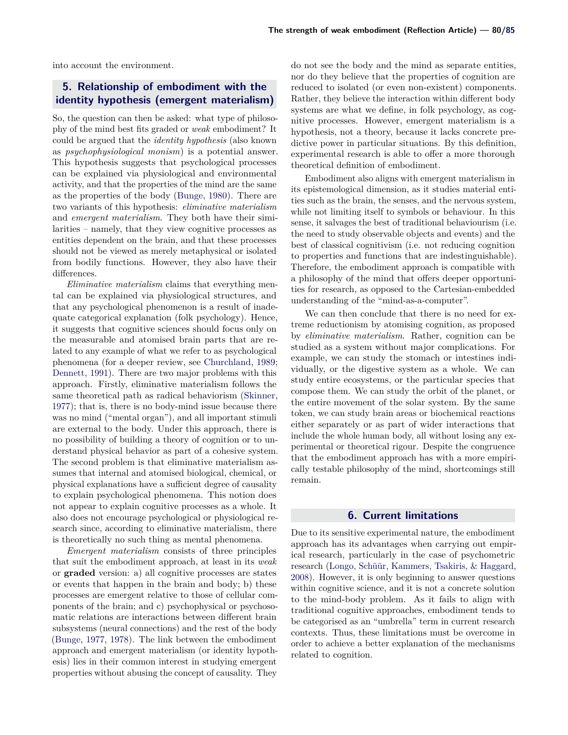into account the environment.

# **5. Relationship of embodiment with the identity hypothesis (emergent materialism)**

So, the question can then be asked: what type of philosophy of the mind best fits graded or *weak* embodiment? It could be argued that the *identity hypothesis* (also known as *psychophysiological monism*) is a potential answer. This hypothesis suggests that psychological processes can be explained via physiological and environmental activity, and that the properties of the mind are the same as the properties of the body [\(Bunge,](#page-6-12) [1980\)](#page-6-12). There are two variants of this hypothesis: *eliminative materialism* and *emergent materialism*. They both have their similarities – namely, that they view cognitive processes as entities dependent on the brain, and that these processes should not be viewed as merely metaphysical or isolated from bodily functions. However, they also have their differences.

*Eliminative materialism* claims that everything mental can be explained via physiological structures, and that any psychological phenomenon is a result of inadequate categorical explanation (folk psychology). Hence, it suggests that cognitive sciences should focus only on the measurable and atomised brain parts that are related to any example of what we refer to as psychological phenomena (for a deeper review, see [Churchland,](#page-6-13) [1989;](#page-6-13) [Dennett,](#page-7-19) [1991\)](#page-7-19). There are two major problems with this approach. Firstly, eliminative materialism follows the same theoretical path as radical behaviorism [\(Skinner,](#page-8-9) [1977\)](#page-8-9); that is, there is no body-mind issue because there was no mind ("mental organ"), and all important stimuli are external to the body. Under this approach, there is no possibility of building a theory of cognition or to understand physical behavior as part of a cohesive system. The second problem is that eliminative materialism assumes that internal and atomised biological, chemical, or physical explanations have a sufficient degree of causality to explain psychological phenomena. This notion does not appear to explain cognitive processes as a whole. It also does not encourage psychological or physiological research since, according to eliminative materialism, there is theoretically no such thing as mental phenomena.

*Emergent materialism* consists of three principles that suit the embodiment approach, at least in its *weak* or **graded** version: a) all cognitive processes are states or events that happen in the brain and body; b) these processes are emergent relative to those of cellular components of the brain; and c) psychophysical or psychosomatic relations are interactions between different brain subsystems (neural connections) and the rest of the body [\(Bunge,](#page-6-14) [1977,](#page-6-14) [1978\)](#page-6-15). The link between the embodiment approach and emergent materialism (or identity hypothesis) lies in their common interest in studying emergent properties without abusing the concept of causality. They

do not see the body and the mind as separate entities, nor do they believe that the properties of cognition are reduced to isolated (or even non-existent) components. Rather, they believe the interaction within different body systems are what we define, in folk psychology, as cognitive processes. However, emergent materialism is a hypothesis, not a theory, because it lacks concrete predictive power in particular situations. By this definition, experimental research is able to offer a more thorough theoretical definition of embodiment.

Embodiment also aligns with emergent materialism in its epistemological dimension, as it studies material entities such as the brain, the senses, and the nervous system, while not limiting itself to symbols or behaviour. In this sense, it salvages the best of traditional behaviourism (i.e. the need to study observable objects and events) and the best of classical cognitivism (i.e. not reducing cognition to properties and functions that are indestinguishable). Therefore, the embodiment approach is compatible with a philosophy of the mind that offers deeper opportunities for research, as opposed to the Cartesian-embedded understanding of the "mind-as-a-computer".

We can then conclude that there is no need for extreme reductionism by atomising cognition, as proposed by *eliminative materialism*. Rather, cognition can be studied as a system without major complications. For example, we can study the stomach or intestines individually, or the digestive system as a whole. We can study entire ecosystems, or the particular species that compose them. We can study the orbit of the planet, or the entire movement of the solar system. By the same token, we can study brain areas or biochemical reactions either separately or as part of wider interactions that include the whole human body, all without losing any experimental or theoretical rigour. Despite the congruence that the embodiment approach has with a more empirically testable philosophy of the mind, shortcomings still remain.

# **6. Current limitations**

Due to its sensitive experimental nature, the embodiment approach has its advantages when carrying out empirical research, particularly in the case of psychometric research [\(Longo, Schüür, Kammers, Tsakiris, & Haggard,](#page-7-20) [2008\)](#page-7-20). However, it is only beginning to answer questions within cognitive science, and it is not a concrete solution to the mind-body problem. As it fails to align with traditional cognitive approaches, embodiment tends to be categorised as an "umbrella" term in current research contexts. Thus, these limitations must be overcome in order to achieve a better explanation of the mechanisms related to cognition.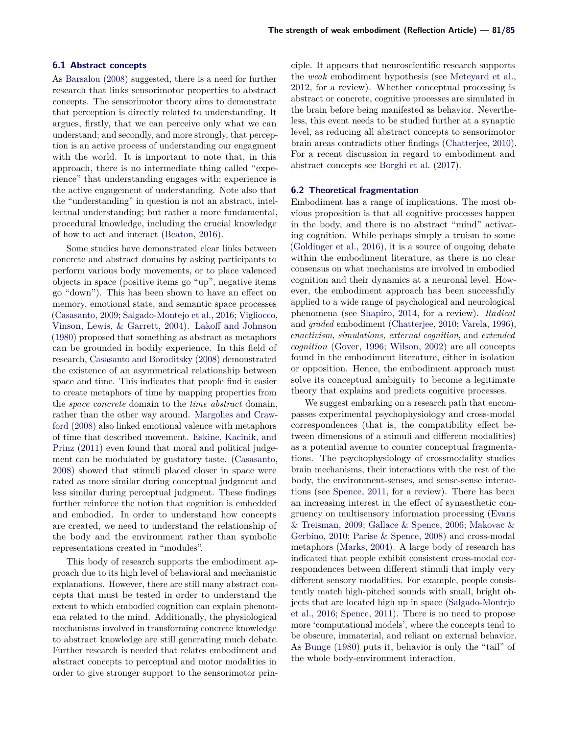#### **6.1 Abstract concepts**

As [Barsalou](#page-6-6) [\(2008\)](#page-6-6) suggested, there is a need for further research that links sensorimotor properties to abstract concepts. The sensorimotor theory aims to demonstrate that perception is directly related to understanding. It argues, firstly, that we can perceive only what we can understand; and secondly, and more strongly, that perception is an active process of understanding our engagment with the world. It is important to note that, in this approach, there is no intermediate thing called "experience" that understanding engages with; experience is the active engagement of understanding. Note also that the "understanding" in question is not an abstract, intellectual understanding; but rather a more fundamental, procedural knowledge, including the crucial knowledge of how to act and interact [\(Beaton,](#page-6-8) [2016\)](#page-6-8).

Some studies have demonstrated clear links between concrete and abstract domains by asking participants to perform various body movements, or to place valenced objects in space (positive items go "up", negative items go "down"). This has been shown to have an effect on memory, emotional state, and semantic space processes [\(Casasanto,](#page-6-16) [2009;](#page-6-16) [Salgado-Montejo et al.,](#page-8-6) [2016;](#page-8-6) [Vigliocco,](#page-8-10) [Vinson, Lewis, & Garrett,](#page-8-10) [2004\)](#page-8-10). [Lakoff and Johnson](#page-7-15) [\(1980\)](#page-7-15) proposed that something as abstract as metaphors can be grounded in bodily experience. In this field of research, [Casasanto and Boroditsky](#page-6-17) [\(2008\)](#page-6-17) demonstrated the existence of an asymmetrical relationship between space and time. This indicates that people find it easier to create metaphors of time by mapping properties from the *space concrete* domain to the *time abstract* domain, rather than the other way around. [Margolies and Craw](#page-8-11)[ford](#page-8-11) [\(2008\)](#page-8-11) also linked emotional valence with metaphors of time that described movement. [Eskine, Kacinik, and](#page-7-21) [Prinz](#page-7-21) [\(2011\)](#page-7-21) even found that moral and political judgement can be modulated by gustatory taste. [\(Casasanto,](#page-6-18) [2008\)](#page-6-18) showed that stimuli placed closer in space were rated as more similar during conceptual judgment and less similar during perceptual judgment. These findings further reinforce the notion that cognition is embedded and embodied. In order to understand how concepts are created, we need to understand the relationship of the body and the environment rather than symbolic representations created in "modules".

This body of research supports the embodiment approach due to its high level of behavioral and mechanistic explanations. However, there are still many abstract concepts that must be tested in order to understand the extent to which embodied cognition can explain phenomena related to the mind. Additionally, the physiological mechanisms involved in transforming concrete knowledge to abstract knowledge are still generating much debate. Further research is needed that relates embodiment and abstract concepts to perceptual and motor modalities in order to give stronger support to the sensorimotor prin-

ciple. It appears that neuroscientific research supports the *weak* embodiment hypothesis (see [Meteyard et al.,](#page-8-8) [2012,](#page-8-8) for a review). Whether conceptual processing is abstract or concrete, cognitive processes are simulated in the brain before being manifested as behavior. Nevertheless, this event needs to be studied further at a synaptic level, as reducing all abstract concepts to sensorimotor brain areas contradicts other findings [\(Chatterjee,](#page-6-9) [2010\)](#page-6-9). For a recent discussion in regard to embodiment and abstract concepts see [Borghi et al.](#page-6-19) [\(2017\)](#page-6-19).

#### **6.2 Theoretical fragmentation**

Embodiment has a range of implications. The most obvious proposition is that all cognitive processes happen in the body, and there is no abstract "mind" activating cognition. While perhaps simply a truism to some [\(Goldinger et al.,](#page-7-18) [2016\)](#page-7-18), it is a source of ongoing debate within the embodiment literature, as there is no clear consensus on what mechanisms are involved in embodied cognition and their dynamics at a neuronal level. However, the embodiment approach has been successfully applied to a wide range of psychological and neurological phenomena (see [Shapiro,](#page-8-1) [2014,](#page-8-1) for a review). *Radical* and *graded* embodiment [\(Chatterjee,](#page-6-9) [2010;](#page-6-9) [Varela,](#page-8-12) [1996\)](#page-8-12), *enactivism, simulations, external cognition*, and *extended cognition* [\(Gover,](#page-7-22) [1996;](#page-7-22) [Wilson,](#page-8-13) [2002\)](#page-8-13) are all concepts found in the embodiment literature, either in isolation or opposition. Hence, the embodiment approach must solve its conceptual ambiguity to become a legitimate theory that explains and predicts cognitive processes.

We suggest embarking on a research path that encompasses experimental psychophysiology and cross-modal correspondences (that is, the compatibility effect between dimensions of a stimuli and different modalities) as a potential avenue to counter conceptual fragmentations. The psychophysiology of crossmodality studies brain mechanisms, their interactions with the rest of the body, the environment-senses, and sense-sense interactions (see [Spence,](#page-8-14) [2011,](#page-8-14) for a review). There has been an increasing interest in the effect of synaesthetic congruency on multisensory information processing [\(Evans](#page-7-23) [& Treisman,](#page-7-23) [2009;](#page-7-23) [Gallace & Spence,](#page-7-24) [2006;](#page-7-24) [Makovac &](#page-7-25) [Gerbino,](#page-7-25) [2010;](#page-7-25) [Parise & Spence,](#page-8-15) [2008\)](#page-8-15) and cross-modal metaphors [\(Marks,](#page-8-16) [2004\)](#page-8-16). A large body of research has indicated that people exhibit consistent cross-modal correspondences between different stimuli that imply very different sensory modalities. For example, people consistently match high-pitched sounds with small, bright objects that are located high up in space [\(Salgado-Montejo](#page-8-6) [et al.,](#page-8-6) [2016;](#page-8-6) [Spence,](#page-8-14) [2011\)](#page-8-14). There is no need to propose more 'computational models', where the concepts tend to be obscure, immaterial, and reliant on external behavior. As [Bunge](#page-6-12) [\(1980\)](#page-6-12) puts it, behavior is only the "tail" of the whole body-environment interaction.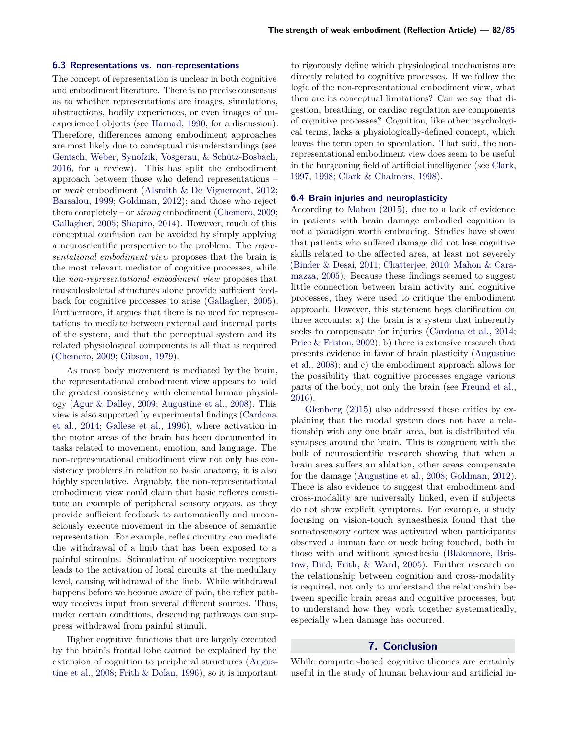#### **6.3 Representations vs. non-representations**

The concept of representation is unclear in both cognitive and embodiment literature. There is no precise consensus as to whether representations are images, simulations, abstractions, bodily experiences, or even images of unexperienced objects (see [Harnad,](#page-7-26) [1990,](#page-7-26) for a discussion). Therefore, differences among embodiment approaches are most likely due to conceptual misunderstandings (see [Gentsch, Weber, Synofzik, Vosgerau, & Schütz-Bosbach,](#page-7-27) [2016,](#page-7-27) for a review). This has split the embodiment approach between those who defend representations – or *weak* embodiment [\(Alsmith & De Vignemont,](#page-6-20) [2012;](#page-6-20) [Barsalou,](#page-6-0) [1999;](#page-6-0) [Goldman,](#page-7-28) [2012\)](#page-7-28); and those who reject them completely – or *strong* embodiment [\(Chemero,](#page-6-3) [2009;](#page-6-3) [Gallagher,](#page-7-9) [2005;](#page-7-9) [Shapiro,](#page-8-1) [2014\)](#page-8-1). However, much of this conceptual confusion can be avoided by simply applying a neuroscientific perspective to the problem. The *representational embodiment view* proposes that the brain is the most relevant mediator of cognitive processes, while the *non-representational embodiment view* proposes that musculoskeletal structures alone provide sufficient feedback for cognitive processes to arise [\(Gallagher,](#page-7-9) [2005\)](#page-7-9). Furthermore, it argues that there is no need for representations to mediate between external and internal parts of the system, and that the perceptual system and its related physiological components is all that is required [\(Chemero,](#page-6-3) [2009;](#page-6-3) [Gibson,](#page-7-6) [1979\)](#page-7-6).

As most body movement is mediated by the brain, the representational embodiment view appears to hold the greatest consistency with elemental human physiology [\(Agur & Dalley,](#page-6-21) [2009;](#page-6-21) [Augustine et al.,](#page-6-22) [2008\)](#page-6-22). This view is also supported by experimental findings [\(Cardona](#page-6-23) [et al.,](#page-6-23) [2014;](#page-6-23) [Gallese et al.,](#page-7-10) [1996\)](#page-7-10), where activation in the motor areas of the brain has been documented in tasks related to movement, emotion, and language. The non-representational embodiment view not only has consistency problems in relation to basic anatomy, it is also highly speculative. Arguably, the non-representational embodiment view could claim that basic reflexes constitute an example of peripheral sensory organs, as they provide sufficient feedback to automatically and unconsciously execute movement in the absence of semantic representation. For example, reflex circuitry can mediate the withdrawal of a limb that has been exposed to a painful stimulus. Stimulation of nociceptive receptors leads to the activation of local circuits at the medullary level, causing withdrawal of the limb. While withdrawal happens before we become aware of pain, the reflex pathway receives input from several different sources. Thus, under certain conditions, descending pathways can suppress withdrawal from painful stimuli.

Higher cognitive functions that are largely executed by the brain's frontal lobe cannot be explained by the extension of cognition to peripheral structures [\(Augus](#page-6-22)[tine et al.,](#page-6-22) [2008;](#page-6-22) [Frith & Dolan,](#page-7-29) [1996\)](#page-7-29), so it is important

to rigorously define which physiological mechanisms are directly related to cognitive processes. If we follow the logic of the non-representational embodiment view, what then are its conceptual limitations? Can we say that digestion, breathing, or cardiac regulation are components of cognitive processes? Cognition, like other psychological terms, lacks a physiologically-defined concept, which leaves the term open to speculation. That said, the nonrepresentational embodiment view does seem to be useful in the burgeoning field of artificial intelligence (see [Clark,](#page-7-30) [1997,](#page-7-30) [1998;](#page-7-31) [Clark & Chalmers,](#page-7-32) [1998\)](#page-7-32).

### **6.4 Brain injuries and neuroplasticity**

According to [Mahon](#page-7-7) [\(2015\)](#page-7-7), due to a lack of evidence in patients with brain damage embodied cognition is not a paradigm worth embracing. Studies have shown that patients who suffered damage did not lose cognitive skills related to the affected area, at least not severely [\(Binder & Desai,](#page-6-10) [2011;](#page-6-10) [Chatterjee,](#page-6-9) [2010;](#page-6-9) [Mahon & Cara](#page-7-17)[mazza,](#page-7-17) [2005\)](#page-7-17). Because these findings seemed to suggest little connection between brain activity and cognitive processes, they were used to critique the embodiment approach. However, this statement begs clarification on three accounts: a) the brain is a system that inherently seeks to compensate for injuries [\(Cardona et al.,](#page-6-23) [2014;](#page-6-23) [Price & Friston,](#page-8-17) [2002\)](#page-8-17); b) there is extensive research that presents evidence in favor of brain plasticity [\(Augustine](#page-6-22) [et al.,](#page-6-22) [2008\)](#page-6-22); and c) the embodiment approach allows for the possibility that cognitive processes engage various parts of the body, not only the brain (see [Freund et al.,](#page-7-33) [2016\)](#page-7-33).

[Glenberg](#page-7-34) [\(2015\)](#page-7-34) also addressed these critics by explaining that the modal system does not have a relationship with any one brain area, but is distributed via synapses around the brain. This is congruent with the bulk of neuroscientific research showing that when a brain area suffers an ablation, other areas compensate for the damage [\(Augustine et al.,](#page-6-22) [2008;](#page-6-22) [Goldman,](#page-7-28) [2012\)](#page-7-28). There is also evidence to suggest that embodiment and cross-modality are universally linked, even if subjects do not show explicit symptoms. For example, a study focusing on vision-touch synaesthesia found that the somatosensory cortex was activated when participants observed a human face or neck being touched, both in those with and without synesthesia [\(Blakemore, Bris](#page-6-24)[tow, Bird, Frith, & Ward,](#page-6-24) [2005\)](#page-6-24). Further research on the relationship between cognition and cross-modality is required, not only to understand the relationship between specific brain areas and cognitive processes, but to understand how they work together systematically, especially when damage has occurred.

### **7. Conclusion**

While computer-based cognitive theories are certainly useful in the study of human behaviour and artificial in-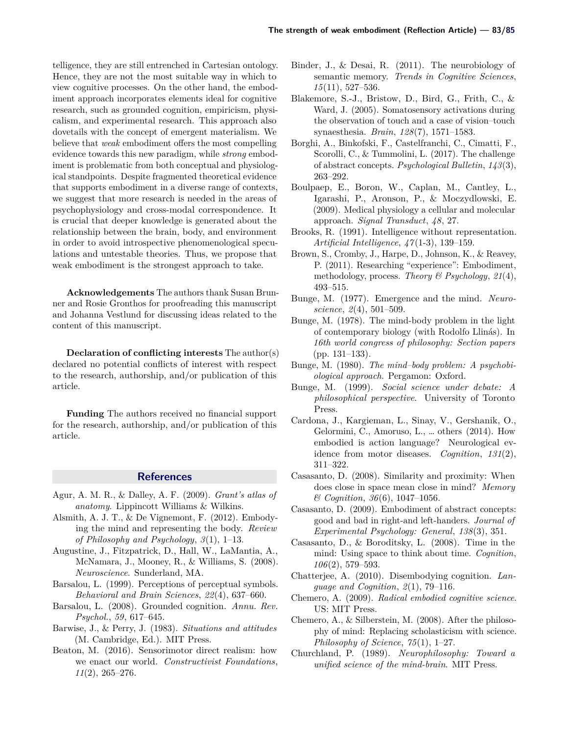telligence, they are still entrenched in Cartesian ontology. Hence, they are not the most suitable way in which to view cognitive processes. On the other hand, the embodiment approach incorporates elements ideal for cognitive research, such as grounded cognition, empiricism, physicalism, and experimental research. This approach also dovetails with the concept of emergent materialism. We believe that *weak* embodiment offers the most compelling evidence towards this new paradigm, while *strong* embodiment is problematic from both conceptual and physiological standpoints. Despite fragmented theoretical evidence that supports embodiment in a diverse range of contexts, we suggest that more research is needed in the areas of psychophysiology and cross-modal correspondence. It is crucial that deeper knowledge is generated about the relationship between the brain, body, and environment in order to avoid introspective phenomenological speculations and untestable theories. Thus, we propose that weak embodiment is the strongest approach to take.

**Acknowledgements** The authors thank Susan Brunner and Rosie Gronthos for proofreading this manuscript and Johanna Vestlund for discussing ideas related to the content of this manuscript.

**Declaration of conflicting interests** The author(s) declared no potential conflicts of interest with respect to the research, authorship, and/or publication of this article.

**Funding** The authors received no financial support for the research, authorship, and/or publication of this article.

### **References**

- <span id="page-6-21"></span>Agur, A. M. R., & Dalley, A. F. (2009). *Grant's atlas of anatomy*. Lippincott Williams & Wilkins.
- <span id="page-6-20"></span>Alsmith, A. J. T., & De Vignemont, F. (2012). Embodying the mind and representing the body. *Review of Philosophy and Psychology*, *3*(1), 1–13.
- <span id="page-6-22"></span>Augustine, J., Fitzpatrick, D., Hall, W., LaMantia, A., McNamara, J., Mooney, R., & Williams, S. (2008). *Neuroscience*. Sunderland, MA.
- <span id="page-6-0"></span>Barsalou, L. (1999). Perceptions of perceptual symbols. *Behavioral and Brain Sciences*, *22*(4), 637–660.
- <span id="page-6-6"></span>Barsalou, L. (2008). Grounded cognition. *Annu. Rev. Psychol.*, *59*, 617–645.
- <span id="page-6-4"></span>Barwise, J., & Perry, J. (1983). *Situations and attitudes* (M. Cambridge, Ed.). MIT Press.
- <span id="page-6-8"></span>Beaton, M. (2016). Sensorimotor direct realism: how we enact our world. *Constructivist Foundations*, *11*(2), 265–276.
- <span id="page-6-10"></span>Binder, J., & Desai, R. (2011). The neurobiology of semantic memory. *Trends in Cognitive Sciences*, *15*(11), 527–536.
- <span id="page-6-24"></span>Blakemore, S.-J., Bristow, D., Bird, G., Frith, C., & Ward, J. (2005). Somatosensory activations during the observation of touch and a case of vision–touch synaesthesia. *Brain*, *128*(7), 1571–1583.
- <span id="page-6-19"></span>Borghi, A., Binkofski, F., Castelfranchi, C., Cimatti, F., Scorolli, C., & Tummolini, L. (2017). The challenge of abstract concepts. *Psychological Bulletin*, *143*(3), 263–292.
- <span id="page-6-11"></span>Boulpaep, E., Boron, W., Caplan, M., Cantley, L., Igarashi, P., Aronson, P., & Moczydlowski, E. (2009). Medical physiology a cellular and molecular approach. *Signal Transduct*, *48*, 27.
- <span id="page-6-2"></span>Brooks, R. (1991). Intelligence without representation. *Artificial Intelligence*, *47* (1-3), 139–159.
- <span id="page-6-7"></span>Brown, S., Cromby, J., Harpe, D., Johnson, K., & Reavey, P. (2011). Researching "experience": Embodiment, methodology, process. *Theory & Psychology*, *21*(4), 493–515.
- <span id="page-6-14"></span>Bunge, M. (1977). Emergence and the mind. *Neuroscience*, *2*(4), 501–509.
- <span id="page-6-15"></span>Bunge, M. (1978). The mind-body problem in the light of contemporary biology (with Rodolfo Llinás). In *16th world congress of philosophy: Section papers* (pp. 131–133).
- <span id="page-6-12"></span>Bunge, M. (1980). *The mind–body problem: A psychobiological approach*. Pergamon: Oxford.
- <span id="page-6-5"></span>Bunge, M. (1999). *Social science under debate: A philosophical perspective*. University of Toronto Press.
- <span id="page-6-23"></span>Cardona, J., Kargieman, L., Sinay, V., Gershanik, O., Gelormini, C., Amoruso, L., … others (2014). How embodied is action language? Neurological evidence from motor diseases. *Cognition*, *131*(2), 311–322.
- <span id="page-6-18"></span>Casasanto, D. (2008). Similarity and proximity: When does close in space mean close in mind? *Memory & Cognition*, *36*(6), 1047–1056.
- <span id="page-6-16"></span>Casasanto, D. (2009). Embodiment of abstract concepts: good and bad in right-and left-handers. *Journal of Experimental Psychology: General*, *138*(3), 351.
- <span id="page-6-17"></span>Casasanto, D., & Boroditsky, L. (2008). Time in the mind: Using space to think about time. *Cognition*, *106*(2), 579–593.
- <span id="page-6-9"></span>Chatterjee, A. (2010). Disembodying cognition. *Language and Cognition*, *2*(1), 79–116.
- <span id="page-6-3"></span>Chemero, A. (2009). *Radical embodied cognitive science*. US: MIT Press.
- <span id="page-6-1"></span>Chemero, A., & Silberstein, M. (2008). After the philosophy of mind: Replacing scholasticism with science. *Philosophy of Science*, *75*(1), 1–27.
- <span id="page-6-13"></span>Churchland, P. (1989). *Neurophilosophy: Toward a unified science of the mind-brain*. MIT Press.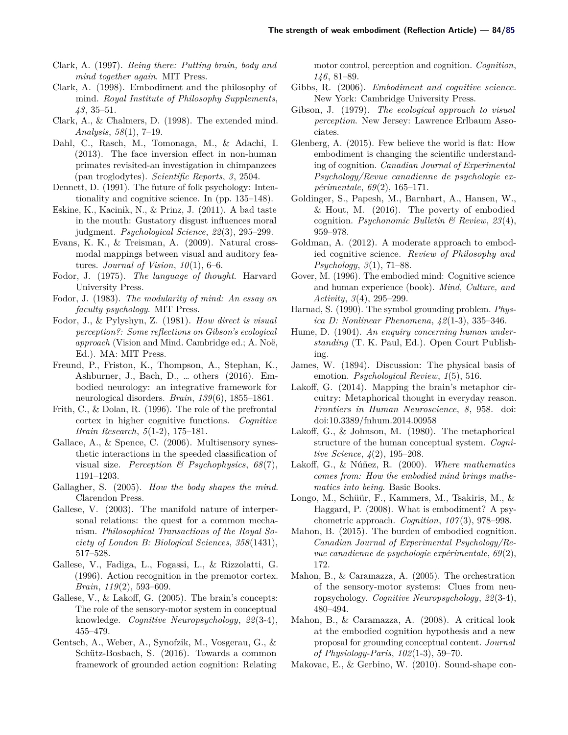- <span id="page-7-30"></span>Clark, A. (1997). *Being there: Putting brain, body and mind together again*. MIT Press.
- <span id="page-7-31"></span>Clark, A. (1998). Embodiment and the philosophy of mind. *Royal Institute of Philosophy Supplements*, *43*, 35–51.
- <span id="page-7-32"></span>Clark, A., & Chalmers, D. (1998). The extended mind. *Analysis*, *58*(1), 7–19.
- <span id="page-7-13"></span>Dahl, C., Rasch, M., Tomonaga, M., & Adachi, I. (2013). The face inversion effect in non-human primates revisited-an investigation in chimpanzees (pan troglodytes). *Scientific Reports*, *3*, 2504.
- <span id="page-7-19"></span>Dennett, D. (1991). The future of folk psychology: Intentionality and cognitive science. In (pp. 135–148).
- <span id="page-7-21"></span>Eskine, K., Kacinik, N., & Prinz, J. (2011). A bad taste in the mouth: Gustatory disgust influences moral judgment. *Psychological Science*, *22*(3), 295–299.
- <span id="page-7-23"></span>Evans, K. K., & Treisman, A. (2009). Natural crossmodal mappings between visual and auditory features. *Journal of Vision*, *10*(1), 6–6.
- <span id="page-7-5"></span>Fodor, J. (1975). *The language of thought*. Harvard University Press.
- <span id="page-7-3"></span>Fodor, J. (1983). *The modularity of mind: An essay on faculty psychology*. MIT Press.
- <span id="page-7-4"></span>Fodor, J., & Pylyshyn, Z. (1981). *How direct is visual perception?: Some reflections on Gibson's ecological approach* (Vision and Mind. Cambridge ed.; A. Noë, Ed.). MA: MIT Press.
- <span id="page-7-33"></span>Freund, P., Friston, K., Thompson, A., Stephan, K., Ashburner, J., Bach, D., … others (2016). Embodied neurology: an integrative framework for neurological disorders. *Brain*, *139*(6), 1855–1861.
- <span id="page-7-29"></span>Frith, C., & Dolan, R. (1996). The role of the prefrontal cortex in higher cognitive functions. *Cognitive Brain Research*, *5*(1-2), 175–181.
- <span id="page-7-24"></span>Gallace, A., & Spence, C. (2006). Multisensory synesthetic interactions in the speeded classification of visual size. *Perception & Psychophysics*, *68*(7), 1191–1203.
- <span id="page-7-9"></span>Gallagher, S. (2005). *How the body shapes the mind*. Clarendon Press.
- <span id="page-7-2"></span>Gallese, V. (2003). The manifold nature of interpersonal relations: the quest for a common mechanism. *Philosophical Transactions of the Royal Society of London B: Biological Sciences*, *358*(1431), 517–528.
- <span id="page-7-10"></span>Gallese, V., Fadiga, L., Fogassi, L., & Rizzolatti, G. (1996). Action recognition in the premotor cortex. *Brain*, *119*(2), 593–609.
- <span id="page-7-0"></span>Gallese, V., & Lakoff, G. (2005). The brain's concepts: The role of the sensory-motor system in conceptual knowledge. *Cognitive Neuropsychology*, *22*(3-4), 455–479.
- <span id="page-7-27"></span>Gentsch, A., Weber, A., Synofzik, M., Vosgerau, G., & Schütz-Bosbach, S. (2016). Towards a common framework of grounded action cognition: Relating

motor control, perception and cognition. *Cognition*, *146*, 81–89.

- <span id="page-7-11"></span>Gibbs, R. (2006). *Embodiment and cognitive science.* New York: Cambridge University Press.
- <span id="page-7-6"></span>Gibson, J. (1979). *The ecological approach to visual perception*. New Jersey: Lawrence Erlbaum Associates.
- <span id="page-7-34"></span>Glenberg, A. (2015). Few believe the world is flat: How embodiment is changing the scientific understanding of cognition. *Canadian Journal of Experimental Psychology/Revue canadienne de psychologie expérimentale*, *69*(2), 165–171.
- <span id="page-7-18"></span>Goldinger, S., Papesh, M., Barnhart, A., Hansen, W., & Hout, M. (2016). The poverty of embodied cognition. *Psychonomic Bulletin & Review*, *23*(4), 959–978.
- <span id="page-7-28"></span>Goldman, A. (2012). A moderate approach to embodied cognitive science. *Review of Philosophy and Psychology*, *3*(1), 71–88.
- <span id="page-7-22"></span>Gover, M. (1996). The embodied mind: Cognitive science and human experience (book). *Mind, Culture, and Activity*, *3*(4), 295–299.
- <span id="page-7-26"></span>Harnad, S. (1990). The symbol grounding problem. *Physica D: Nonlinear Phenomena*, *42*(1-3), 335–346.
- <span id="page-7-12"></span>Hume, D. (1904). *An enquiry concerning human understanding* (T. K. Paul, Ed.). Open Court Publishing.
- <span id="page-7-16"></span>James, W. (1894). Discussion: The physical basis of emotion. *Psychological Review*, *1*(5), 516.
- <span id="page-7-1"></span>Lakoff, G. (2014). Mapping the brain's metaphor circuitry: Metaphorical thought in everyday reason. *Frontiers in Human Neuroscience*, *8*, 958. doi: doi:10.3389/fnhum.2014.00958
- <span id="page-7-15"></span>Lakoff, G., & Johnson, M. (1980). The metaphorical structure of the human conceptual system. *Cognitive Science*, *4*(2), 195–208.
- <span id="page-7-14"></span>Lakoff, G., & Núñez, R. (2000). *Where mathematics comes from: How the embodied mind brings mathematics into being*. Basic Books.
- <span id="page-7-20"></span>Longo, M., Schüür, F., Kammers, M., Tsakiris, M., & Haggard, P. (2008). What is embodiment? A psychometric approach. *Cognition*, *107* (3), 978–998.
- <span id="page-7-7"></span>Mahon, B. (2015). The burden of embodied cognition. *Canadian Journal of Experimental Psychology/Revue canadienne de psychologie expérimentale*, *69*(2), 172.
- <span id="page-7-17"></span>Mahon, B., & Caramazza, A. (2005). The orchestration of the sensory-motor systems: Clues from neuropsychology. *Cognitive Neuropsychology*, *22*(3-4), 480–494.
- <span id="page-7-8"></span>Mahon, B., & Caramazza, A. (2008). A critical look at the embodied cognition hypothesis and a new proposal for grounding conceptual content. *Journal of Physiology-Paris*, *102*(1-3), 59–70.
- <span id="page-7-25"></span>Makovac, E., & Gerbino, W. (2010). Sound-shape con-